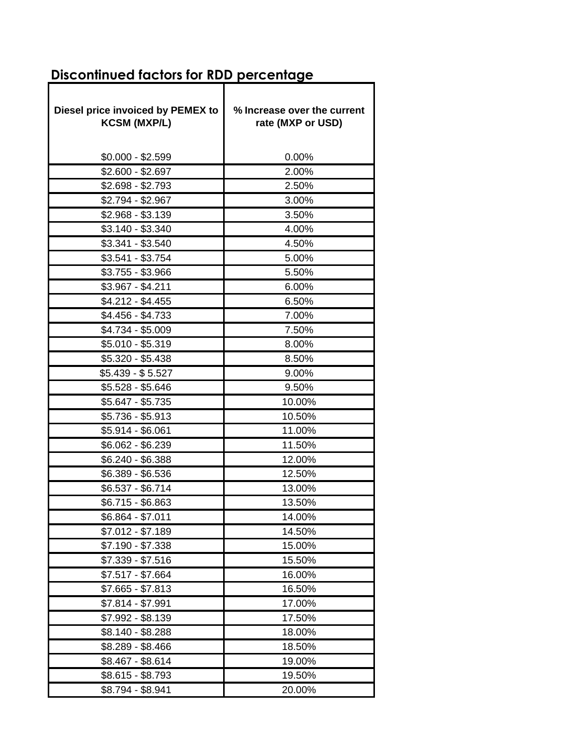## **Discontinued factors for RDD percentage**

| Diesel price invoiced by PEMEX to<br><b>KCSM (MXP/L)</b> | % Increase over the current<br>rate (MXP or USD) |
|----------------------------------------------------------|--------------------------------------------------|
| $$0.000 - $2.599$                                        | 0.00%                                            |
| $$2.600 - $2.697$                                        | 2.00%                                            |
| \$2.698 - \$2.793                                        | 2.50%                                            |
| \$2.794 - \$2.967                                        | 3.00%                                            |
| $$2.968 - $3.139$                                        | 3.50%                                            |
| $$3.140 - $3.340$                                        | 4.00%                                            |
| $$3.341 - $3.540$                                        | 4.50%                                            |
| \$3.541 - \$3.754                                        | 5.00%                                            |
| $$3.755 - $3.966$                                        | 5.50%                                            |
| $$3.967 - $4.211$                                        | 6.00%                                            |
| \$4.212 - \$4.455                                        | 6.50%                                            |
| \$4.456 - \$4.733                                        | 7.00%                                            |
| \$4.734 - \$5.009                                        | 7.50%                                            |
| $$5.010 - $5.319$                                        | 8.00%                                            |
| \$5.320 - \$5.438                                        | 8.50%                                            |
| \$5.439 - \$5.527                                        | 9.00%                                            |
| $$5.528 - $5.646$                                        | 9.50%                                            |
| \$5.647 - \$5.735                                        | 10.00%                                           |
| \$5.736 - \$5.913                                        | 10.50%                                           |
| \$5.914 - \$6.061                                        | 11.00%                                           |
| \$6.062 - \$6.239                                        | 11.50%                                           |
| \$6.240 - \$6.388                                        | 12.00%                                           |
| \$6.389 - \$6.536                                        | 12.50%                                           |
| \$6.537 - \$6.714                                        | 13.00%                                           |
| \$6.715 - \$6.863                                        | 13.50%                                           |
| \$6.864 - \$7.011                                        | 14.00%                                           |
| \$7.012 - \$7.189                                        | 14.50%                                           |
| \$7.190 - \$7.338                                        | 15.00%                                           |
| \$7.339 - \$7.516                                        | 15.50%                                           |
| $$7.517 - $7.664$                                        | 16.00%                                           |
| $$7.665 - $7.813$                                        | 16.50%                                           |
| $$7.814 - $7.991$                                        | 17.00%                                           |
| \$7.992 - \$8.139                                        | 17.50%                                           |
| \$8.140 - \$8.288                                        | 18.00%                                           |
| \$8.289 - \$8.466                                        | 18.50%                                           |
| \$8.467 - \$8.614                                        | 19.00%                                           |
| \$8.615 - \$8.793                                        | 19.50%                                           |
| \$8.794 - \$8.941                                        | 20.00%                                           |